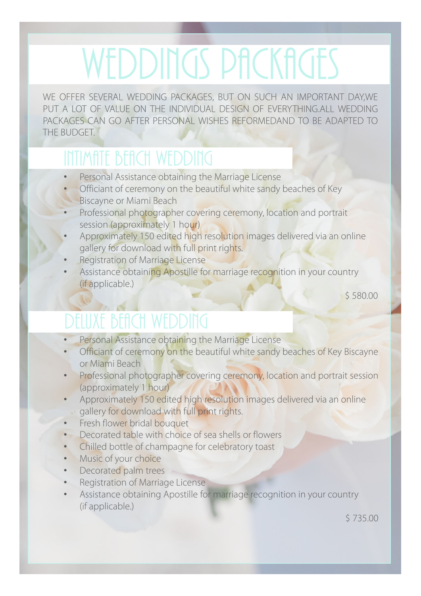WE OFFER SEVERAL WEDDING PACKAGES, BUT ON SUCH AN IMPORTANT DAY,WE PUT A LOT OF VALUE ON THE INDIVIDUAL DESIGN OF EVERYTHING.ALL WEDDING PACKAGES CAN GO AFTER PERSONAL WISHES REFORMEDAND TO BE ADAPTED TO THE BUDGET.

#### INTIMATE BEACH WEDDING

- Personal Assistance obtaining the Marriage License
- Officiant of ceremony on the beautiful white sandy beaches of Key **Biscayne or Miami Beach**
- Professional photographer covering ceremony, location and portrait session (approximately 1 hour)
- Approximately 150 edited high resolution images delivered via an online gallery for download with full print rights.
- Registration of Marriage License
- Assistance obtaining Apostille for marriage recognition in your country (if applicable.)

\$ 580.00

#### DELUXE BEACH WEDDING

- Personal Assistance obtaining the Marriage License
- Officiant of ceremony on the beautiful white sandy beaches of Key Biscayne or Miami Beach
- Professional photographer covering ceremony, location and portrait session (approximately 1 hour)
- Approximately 150 edited high resolution images delivered via an online gallery for download with full print rights.
- Fresh flower bridal bouquet
- Decorated table with choice of sea shells or flowers
- Chilled bottle of champagne for celebratory toast
- Music of your choice
- Decorated palm trees
- Registration of Marriage License
- Assistance obtaining Apostille for marriage recognition in your country (if applicable.)

\$ 735.00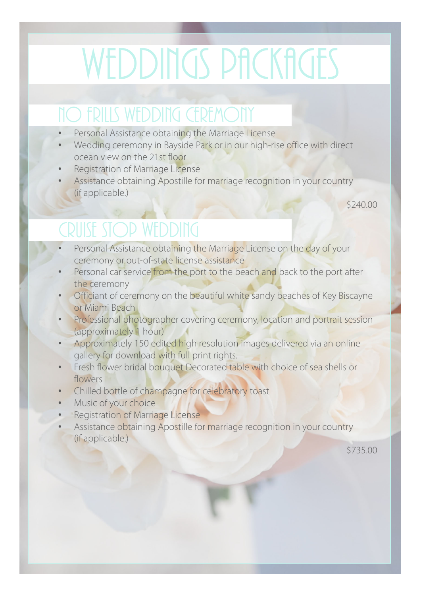## **NO FRILLS WEDDING CEREMONY**

- Personal Assistance obtaining the Marriage License
- Wedding ceremony in Bayside Park or in our high-rise office with direct ocean view on the 21st floor
- Registration of Marriage License
- Assistance obtaining Apostille for marriage recognition in your country (if applicable.)

\$240.00

### CRUISE STOP WEDDING

- Personal Assistance obtaining the Marriage License on the day of your ceremony or out-of-state license assistance
- Personal car service from the port to the beach and back to the port after the ceremony
- Officiant of ceremony on the beautiful white sandy beaches of Key Biscayne or Miami Beach
- Professional photographer covering ceremony, location and portrait session (approximately 1 hour)
- Approximately 150 edited high resolution images delivered via an online gallery for download with full print rights.
- Fresh flower bridal bouquet Decorated table with choice of sea shells or flowers
- Chilled bottle of champagne for celebratory toast
- Music of your choice
- Registration of Marriage License
- Assistance obtaining Apostille for marriage recognition in your country (if applicable.)

\$735.00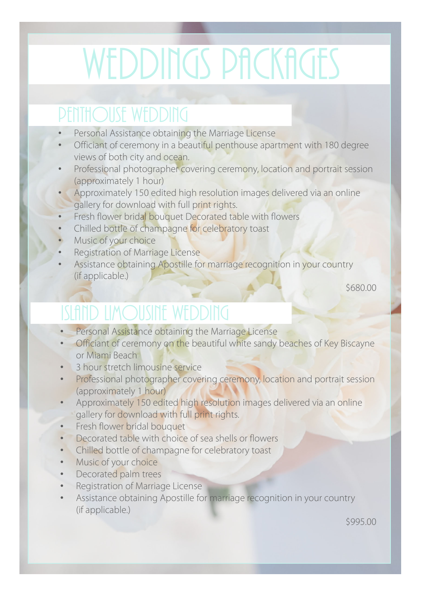#### PENTHOUSE WEDDING

- Personal Assistance obtaining the Marriage License
- Officiant of ceremony in a beautiful penthouse apartment with 180 degree views of both city and ocean.
- Professional photographer covering ceremony, location and portrait session (approximately 1 hour)
- Approximately 150 edited high resolution images delivered via an online gallery for download with full print rights.
- Fresh flower bridal bouquet Decorated table with flowers
- Chilled bottle of champagne for celebratory toast
- Music of your choice
- Registration of Marriage License
- Assistance obtaining Apostille for marriage recognition in your country (if applicable.)

\$680.00

### Island LIMOUSINE wedding

- Personal Assistance obtaining the Marriage License
- Officiant of ceremony on the beautiful white sandy beaches of Key Biscayne or Miami Beach
- 3 hour stretch limousine service
- Professional photographer covering ceremony, location and portrait session (approximately 1 hour)
- Approximately 150 edited high resolution images delivered via an online gallery for download with full print rights.
- Fresh flower bridal bouquet
- Decorated table with choice of sea shells or flowers
- Chilled bottle of champagne for celebratory toast
- Music of your choice
- Decorated palm trees
- Registration of Marriage License
- Assistance obtaining Apostille for marriage recognition in your country (if applicable.)

\$995.00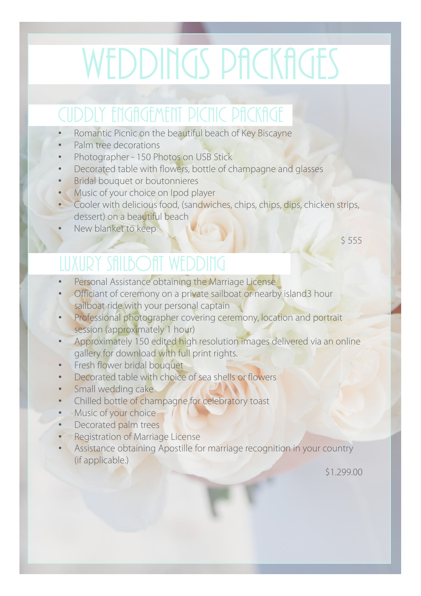### cuddly engagement PICNIC PACKAGE

- Romantic Picnic on the beautiful beach of Key Biscayne
- Palm tree decorations
- Photographer 150 Photos on USB Stick
- Decorated table with flowers, bottle of champagne and glasses
- Bridal bouquet or boutonnieres
- Music of your choice on Ipod player
- Cooler with delicious food, (sandwiches, chips, chips, dips, chicken strips, dessert) on a beautiful beach
- New blanket to keep

 $$555$ 

### LUXURY SAILBOAT WEDDING

- Personal Assistance obtaining the Marriage License
- Officiant of ceremony on a private sailboat or nearby island3 hour sailboat ride with your personal captain
- Professional photographer covering ceremony, location and portrait session (approximately 1 hour)
- Approximately 150 edited high resolution images delivered via an online gallery for download with full print rights.
- Fresh flower bridal bouquet
- Decorated table with choice of sea shells or flowers
- Small wedding cake
- Chilled bottle of champagne for celebratory toast
- Music of your choice
- Decorated palm trees
- **Registration of Marriage License**
- Assistance obtaining Apostille for marriage recognition in your country (if applicable.)

\$1.299.00